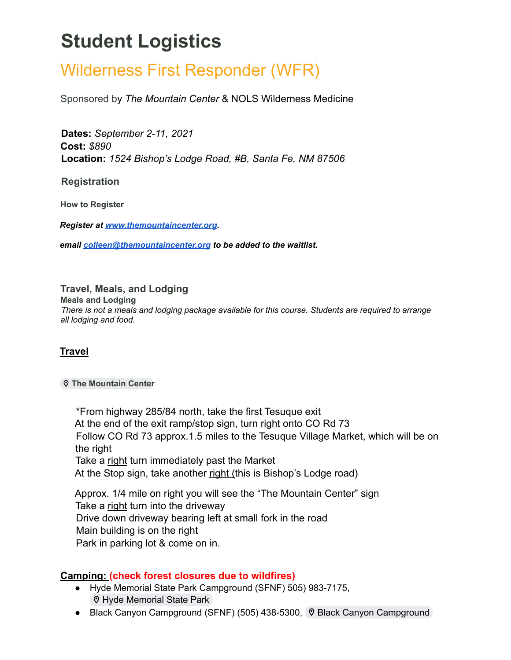# **Student Logistics**

## Wilderness First Responder (WFR)

Sponsored by *The Mountain Center* & NOLS Wilderness Medicine

**Dates:** *September 2-11, 2021* **Cost:** *\$890* **Location:** *1524 Bishop's Lodge Road, #B, Santa Fe, NM 87506*

**Registration**

**How to Register**

*Register at [www.themountaincenter.org](http://www.themountaincenter.org).*

*email [colleen@themountaincenter.org](mailto:colleen@themountaincenter.org) to be added to the waitlist.*

#### **Travel, Meals, and Lodging**

**Meals and Lodging**

*There is not a meals and lodging package available for this course. Students are required to arrange all lodging and food.*

#### **Travel**

#### **The [Mountain](https://www.google.com/maps/place/The+Mountain+Center/@35.7576985,-105.9315862,17z/data=!3m1!4b1!4m5!3m4!1s0x87184f01306dc75d:0x74fd113731259e88!8m2!3d35.7576942!4d-105.9293975) Center**

\*From highway 285/84 north, take the first Tesuque exit At the end of the exit ramp/stop sign, turn right onto CO Rd 73 Follow CO Rd 73 approx.1.5 miles to the Tesuque Village Market, which will be on the right Take a right turn immediately past the Market At the Stop sign, take another right (this is Bishop's Lodge road)

Approx. 1/4 mile on right you will see the "The Mountain Center" sign Take a right turn into the driveway Drive down driveway bearing left at small fork in the road Main building is on the right Park in parking lot & come on in.

#### **Camping: (check forest closures due to wildfires)**

- Hyde Memorial State Park Campground (SFNF) 505) [983-7175](https://www.google.com/search?q=hyde+state+par+campground+santa+fe&ei=RKZZYtStDMjF0PEPh6mukAc&ved=0ahUKEwjU35iKx5b3AhXIIjQIHYeUC3IQ4dUDCA4&uact=5&oq=hyde+state+par+campground+santa+fe&gs_lcp=Cgdnd3Mtd2l6EAMyCAgAEAgQBxAeOgYIABAHEB46BQgAEIYDOgYIABAIEB5KBAhBGABKBAhGGABQAFjVEWCXFWgAcAF4AIABwwGIAYMKkgEEMTEuM5gBAKABAcABAQ&sclient=gws-wiz#), **V** Hyde [Memorial](https://www.google.com/maps/place/Hyde+Memorial+State+Park/@35.7269988,-105.9638759,12z/data=!4m19!1m13!4m12!1m4!2m2!1d-105.9356672!2d35.7629952!4e1!1m6!1m2!1s0x87184d9b7a94a1a9:0x295d51e82fe6b9f1!2shyde+state+park+campground+santa+fe!2m2!1d-105.8356138!2d35.7375641!3m4!1s0x87184d9b7a94a1a9:0x295d51e82fe6b9f1!8m2!3d35.7375641!4d-105.8356138) State Park
- Black Canyon Campground (SFNF) (505) [438-5300](https://www.google.com/search?q=black+canyon+campground+santa+fe&oq=black+canyon+campground+santa+fe&aqs=chrome..69i57j46i175i199i512j0i512j0i22i30j0i390l3.5637j0j7&sourceid=chrome&ie=UTF-8#), ♡ Black Canyon [Campground](https://goo.gl/maps/XDKyQAwgycs)